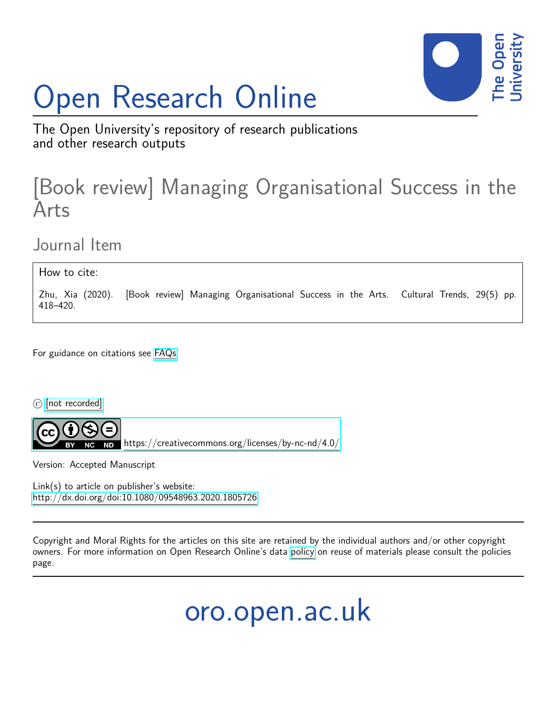## Open Research Online



The Open University's repository of research publications and other research outputs

## [Book review] Managing Organisational Success in the Arts

Journal Item

How to cite:

Zhu, Xia (2020). [Book review] Managing Organisational Success in the Arts. Cultural Trends, 29(5) pp. 418–420.

For guidance on citations see [FAQs.](http://oro.open.ac.uk/help/helpfaq.html)

 $\circled{c}$  [\[not recorded\]](http://oro.open.ac.uk/help/helpfaq.html#Unrecorded_information_on_coversheet)

<https://creativecommons.org/licenses/by-nc-nd/4.0/>

Version: Accepted Manuscript

Link(s) to article on publisher's website: <http://dx.doi.org/doi:10.1080/09548963.2020.1805726>

Copyright and Moral Rights for the articles on this site are retained by the individual authors and/or other copyright owners. For more information on Open Research Online's data [policy](http://oro.open.ac.uk/policies.html) on reuse of materials please consult the policies page.

oro.open.ac.uk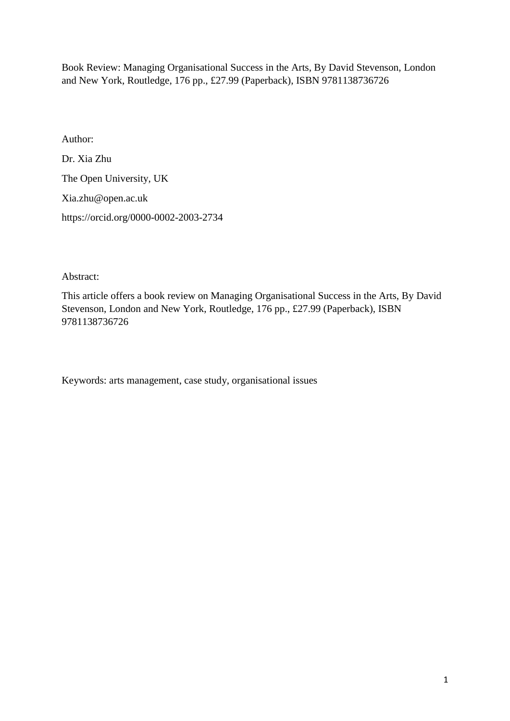Book Review: Managing Organisational Success in the Arts, By David Stevenson, London and New York, Routledge, 176 pp., £27.99 (Paperback), ISBN 9781138736726

Author: Dr. Xia Zhu The Open University, UK [Xia.zhu@open.ac.uk](mailto:Xia.zhu@open.ac.uk) https://orcid.org/0000-0002-2003-2734

Abstract:

This article offers a book review on Managing Organisational Success in the Arts, By David Stevenson, London and New York, Routledge, 176 pp., £27.99 (Paperback), ISBN 9781138736726

Keywords: arts management, case study, organisational issues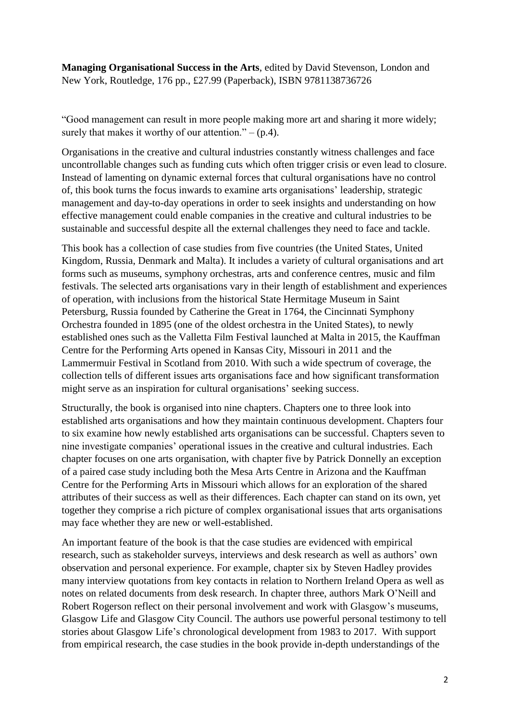**Managing Organisational Success in the Arts**, edited by David Stevenson, London and New York, Routledge, 176 pp., £27.99 (Paperback), ISBN 9781138736726

"Good management can result in more people making more art and sharing it more widely; surely that makes it worthy of our attention."  $-$  (p.4).

Organisations in the creative and cultural industries constantly witness challenges and face uncontrollable changes such as funding cuts which often trigger crisis or even lead to closure. Instead of lamenting on dynamic external forces that cultural organisations have no control of, this book turns the focus inwards to examine arts organisations' leadership, strategic management and day-to-day operations in order to seek insights and understanding on how effective management could enable companies in the creative and cultural industries to be sustainable and successful despite all the external challenges they need to face and tackle.

This book has a collection of case studies from five countries (the United States, United Kingdom, Russia, Denmark and Malta). It includes a variety of cultural organisations and art forms such as museums, symphony orchestras, arts and conference centres, music and film festivals. The selected arts organisations vary in their length of establishment and experiences of operation, with inclusions from the historical State Hermitage Museum in Saint Petersburg, Russia founded by Catherine the Great in 1764, the Cincinnati Symphony Orchestra founded in 1895 (one of the oldest orchestra in the United States), to newly established ones such as the Valletta Film Festival launched at Malta in 2015, the Kauffman Centre for the Performing Arts opened in Kansas City, Missouri in 2011 and the Lammermuir Festival in Scotland from 2010. With such a wide spectrum of coverage, the collection tells of different issues arts organisations face and how significant transformation might serve as an inspiration for cultural organisations' seeking success.

Structurally, the book is organised into nine chapters. Chapters one to three look into established arts organisations and how they maintain continuous development. Chapters four to six examine how newly established arts organisations can be successful. Chapters seven to nine investigate companies' operational issues in the creative and cultural industries. Each chapter focuses on one arts organisation, with chapter five by Patrick Donnelly an exception of a paired case study including both the Mesa Arts Centre in Arizona and the Kauffman Centre for the Performing Arts in Missouri which allows for an exploration of the shared attributes of their success as well as their differences. Each chapter can stand on its own, yet together they comprise a rich picture of complex organisational issues that arts organisations may face whether they are new or well-established.

An important feature of the book is that the case studies are evidenced with empirical research, such as stakeholder surveys, interviews and desk research as well as authors' own observation and personal experience. For example, chapter six by Steven Hadley provides many interview quotations from key contacts in relation to Northern Ireland Opera as well as notes on related documents from desk research. In chapter three, authors Mark O'Neill and Robert Rogerson reflect on their personal involvement and work with Glasgow's museums, Glasgow Life and Glasgow City Council. The authors use powerful personal testimony to tell stories about Glasgow Life's chronological development from 1983 to 2017. With support from empirical research, the case studies in the book provide in-depth understandings of the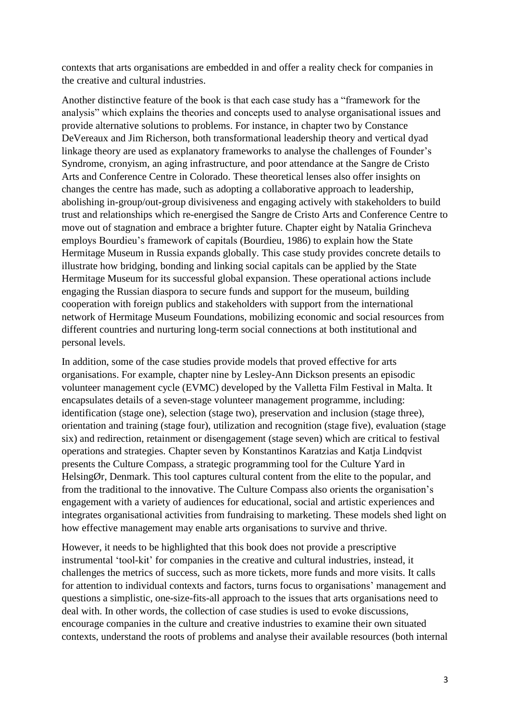contexts that arts organisations are embedded in and offer a reality check for companies in the creative and cultural industries.

Another distinctive feature of the book is that each case study has a "framework for the analysis" which explains the theories and concepts used to analyse organisational issues and provide alternative solutions to problems. For instance, in chapter two by Constance DeVereaux and Jim Richerson, both transformational leadership theory and vertical dyad linkage theory are used as explanatory frameworks to analyse the challenges of Founder's Syndrome, cronyism, an aging infrastructure, and poor attendance at the Sangre de Cristo Arts and Conference Centre in Colorado. These theoretical lenses also offer insights on changes the centre has made, such as adopting a collaborative approach to leadership, abolishing in-group/out-group divisiveness and engaging actively with stakeholders to build trust and relationships which re-energised the Sangre de Cristo Arts and Conference Centre to move out of stagnation and embrace a brighter future. Chapter eight by Natalia Grincheva employs Bourdieu's framework of capitals (Bourdieu, 1986) to explain how the State Hermitage Museum in Russia expands globally. This case study provides concrete details to illustrate how bridging, bonding and linking social capitals can be applied by the State Hermitage Museum for its successful global expansion. These operational actions include engaging the Russian diaspora to secure funds and support for the museum, building cooperation with foreign publics and stakeholders with support from the international network of Hermitage Museum Foundations, mobilizing economic and social resources from different countries and nurturing long-term social connections at both institutional and personal levels.

In addition, some of the case studies provide models that proved effective for arts organisations. For example, chapter nine by Lesley-Ann Dickson presents an episodic volunteer management cycle (EVMC) developed by the Valletta Film Festival in Malta. It encapsulates details of a seven-stage volunteer management programme, including: identification (stage one), selection (stage two), preservation and inclusion (stage three), orientation and training (stage four), utilization and recognition (stage five), evaluation (stage six) and redirection, retainment or disengagement (stage seven) which are critical to festival operations and strategies. Chapter seven by Konstantinos Karatzias and Katja Lindqvist presents the Culture Compass, a strategic programming tool for the Culture Yard in HelsingØr, Denmark. This tool captures cultural content from the elite to the popular, and from the traditional to the innovative. The Culture Compass also orients the organisation's engagement with a variety of audiences for educational, social and artistic experiences and integrates organisational activities from fundraising to marketing. These models shed light on how effective management may enable arts organisations to survive and thrive.

However, it needs to be highlighted that this book does not provide a prescriptive instrumental 'tool-kit' for companies in the creative and cultural industries, instead, it challenges the metrics of success, such as more tickets, more funds and more visits. It calls for attention to individual contexts and factors, turns focus to organisations' management and questions a simplistic, one-size-fits-all approach to the issues that arts organisations need to deal with. In other words, the collection of case studies is used to evoke discussions, encourage companies in the culture and creative industries to examine their own situated contexts, understand the roots of problems and analyse their available resources (both internal